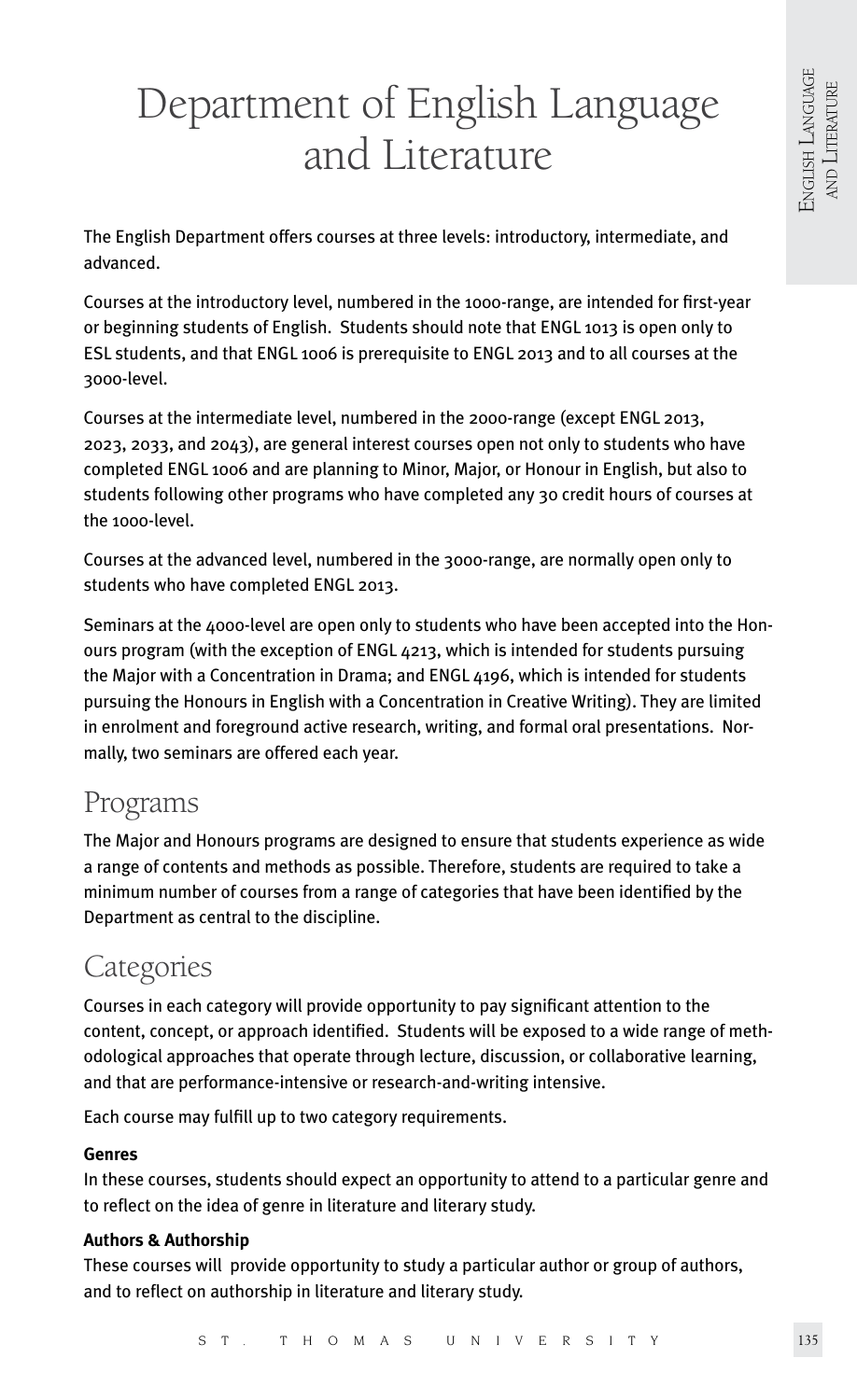# Department of English Language and Literature

The English Department offers courses at three levels: introductory, intermediate, and advanced.

Courses at the introductory level, numbered in the 1000-range, are intended for first-year or beginning students of English. Students should note that ENGL 1013 is open only to ESL students, and that ENGL 1006 is prerequisite to ENGL 2013 and to all courses at the 3000-level.

Courses at the intermediate level, numbered in the 2000-range (except ENGL 2013, 2023, 2033, and 2043), are general interest courses open not only to students who have completed ENGL 1006 and are planning to Minor, Major, or Honour in English, but also to students following other programs who have completed any 30 credit hours of courses at the 1000-level.

Courses at the advanced level, numbered in the 3000-range, are normally open only to students who have completed ENGL 2013.

Seminars at the 4000-level are open only to students who have been accepted into the Honours program (with the exception of ENGL 4213, which is intended for students pursuing the Major with a Concentration in Drama; and ENGL 4196, which is intended for students pursuing the Honours in English with a Concentration in Creative Writing). They are limited in enrolment and foreground active research, writing, and formal oral presentations. Normally, two seminars are offered each year.

## Programs

The Major and Honours programs are designed to ensure that students experience as wide a range of contents and methods as possible. Therefore, students are required to take a minimum number of courses from a range of categories that have been identified by the Department as central to the discipline.

## Categories

Courses in each category will provide opportunity to pay significant attention to the content, concept, or approach identified. Students will be exposed to a wide range of methodological approaches that operate through lecture, discussion, or collaborative learning, and that are performance-intensive or research-and-writing intensive.

Each course may fulfill up to two category requirements.

## **Genres**

In these courses, students should expect an opportunity to attend to a particular genre and to reflect on the idea of genre in literature and literary study.

## **Authors & Authorship**

These courses will provide opportunity to study a particular author or group of authors, and to reflect on authorship in literature and literary study.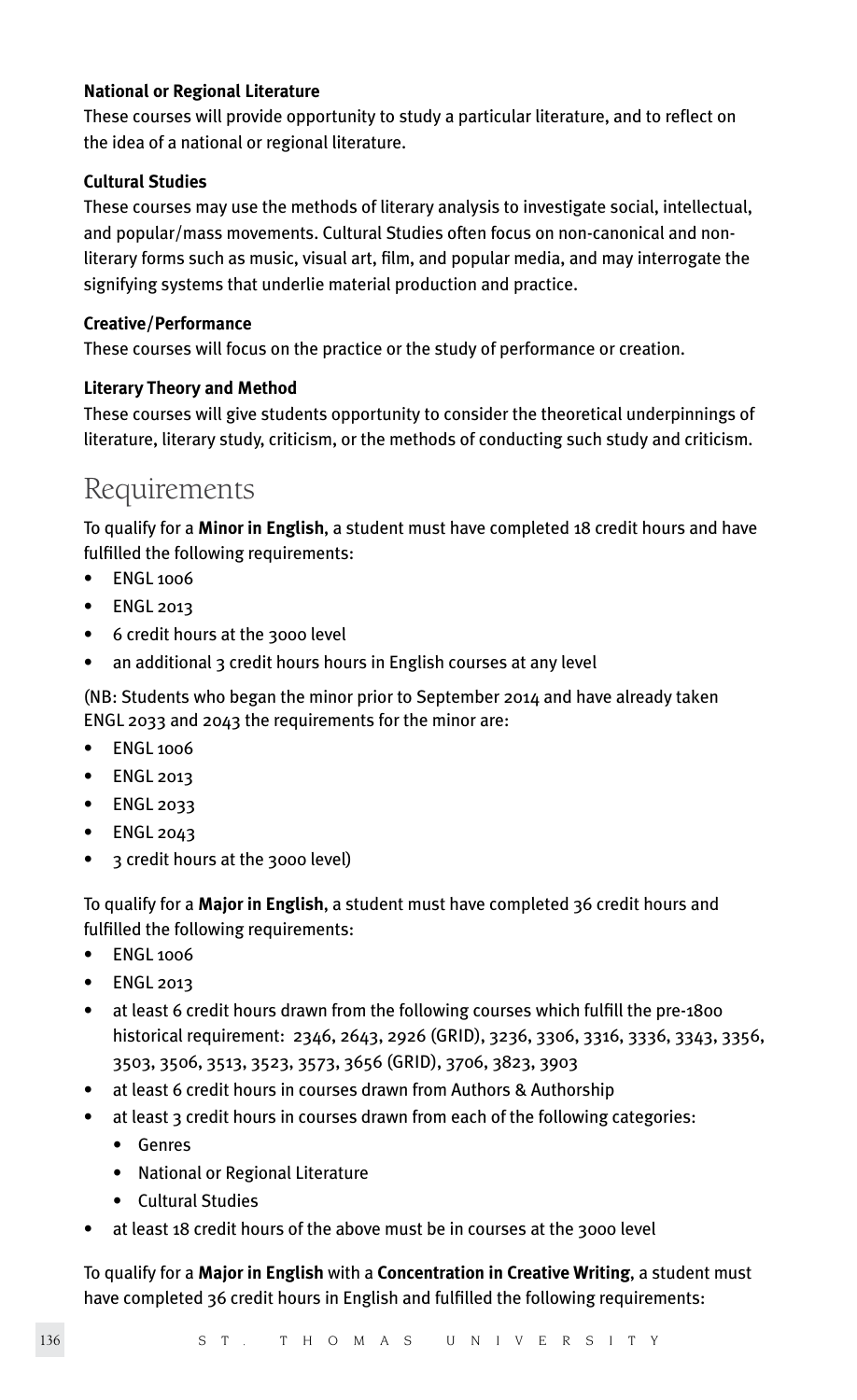## **National or Regional Literature**

These courses will provide opportunity to study a particular literature, and to reflect on the idea of a national or regional literature.

## **Cultural Studies**

These courses may use the methods of literary analysis to investigate social, intellectual, and popular/mass movements. Cultural Studies often focus on non-canonical and nonliterary forms such as music, visual art, film, and popular media, and may interrogate the signifying systems that underlie material production and practice.

## **Creative/Performance**

These courses will focus on the practice or the study of performance or creation.

## **Literary Theory and Method**

These courses will give students opportunity to consider the theoretical underpinnings of literature, literary study, criticism, or the methods of conducting such study and criticism.

## Requirements

To qualify for a **Minor in English**, a student must have completed 18 credit hours and have fulfilled the following requirements:

- **ENGL 1006**
- ENGL 2013
- 6 credit hours at the 3000 level
- an additional 3 credit hours hours in English courses at any level

(NB: Students who began the minor prior to September 2014 and have already taken ENGL 2033 and 2043 the requirements for the minor are:

- ENGL 1006
- ENGL 2013
- ENGL 2033
- ENGL 2043
- 3 credit hours at the 3000 level)

To qualify for a **Major in English**, a student must have completed 36 credit hours and fulfilled the following requirements:

- ENGL 1006
- ENGL 2013
- at least 6 credit hours drawn from the following courses which fulfill the pre-1800 historical requirement: 2346, 2643, 2926 (GRID), 3236, 3306, 3316, 3336, 3343, 3356, 3503, 3506, 3513, 3523, 3573, 3656 (GRID), 3706, 3823, 3903
- at least 6 credit hours in courses drawn from Authors & Authorship
- at least 3 credit hours in courses drawn from each of the following categories:
	- Genres
	- National or Regional Literature
	- Cultural Studies
- at least 18 credit hours of the above must be in courses at the 3000 level

To qualify for a **Major in English** with a **Concentration in Creative Writing**, a student must have completed 36 credit hours in English and fulfilled the following requirements: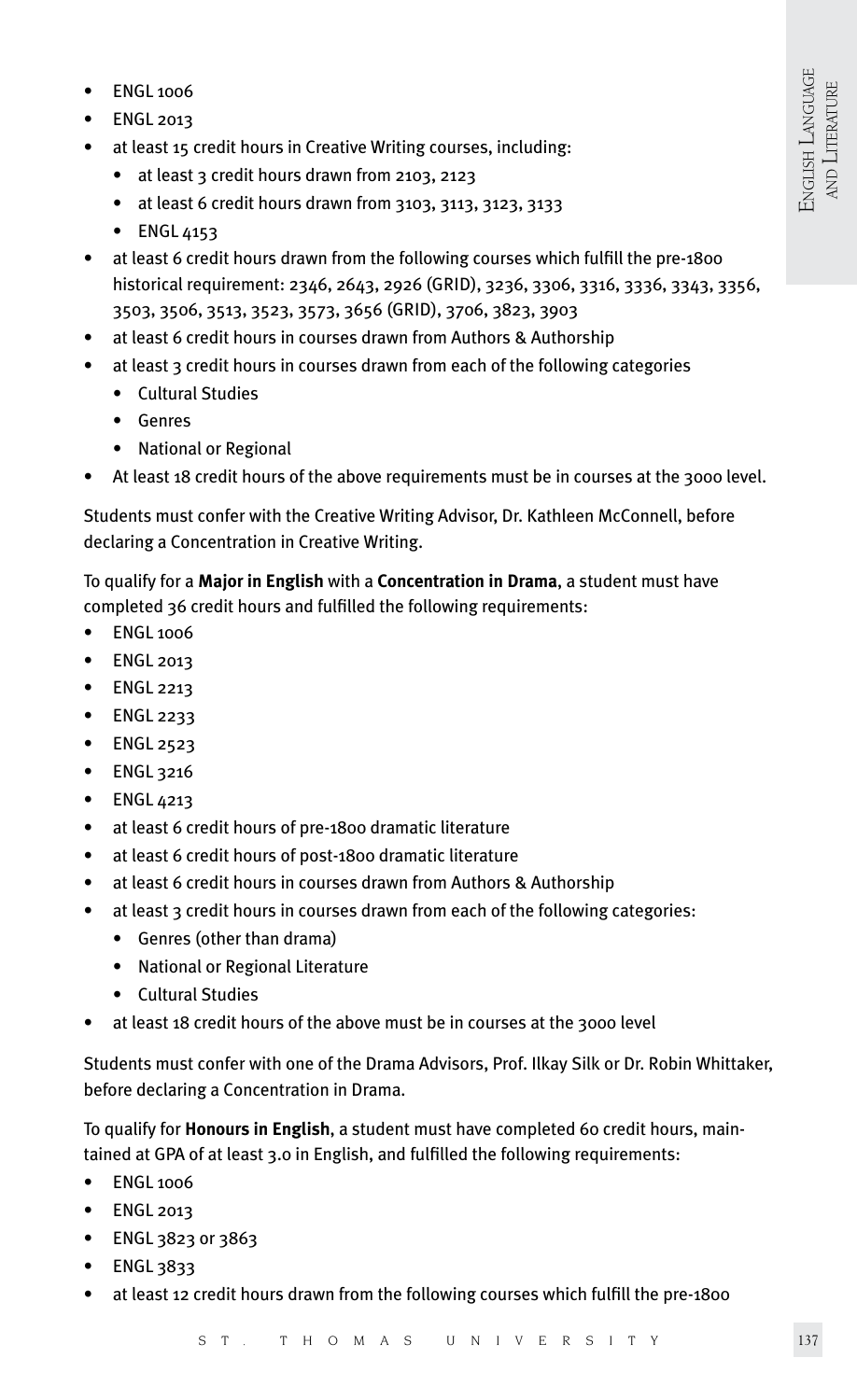- ENGL 1006
- ENGL 2013
- at least 15 credit hours in Creative Writing courses, including:
	- at least 3 credit hours drawn from 2103, 2123
	- at least 6 credit hours drawn from 3103, 3113, 3123, 3133
	- ENGL 4153
- at least 6 credit hours drawn from the following courses which fulfill the pre-1800 historical requirement: 2346, 2643, 2926 (GRID), 3236, 3306, 3316, 3336, 3343, 3356, 3503, 3506, 3513, 3523, 3573, 3656 (GRID), 3706, 3823, 3903
- at least 6 credit hours in courses drawn from Authors & Authorship
- at least 3 credit hours in courses drawn from each of the following categories
	- Cultural Studies
	- Genres
	- National or Regional
- At least 18 credit hours of the above requirements must be in courses at the 3000 level.

Students must confer with the Creative Writing Advisor, Dr. Kathleen McConnell, before declaring a Concentration in Creative Writing.

To qualify for a **Major in English** with a **Concentration in Drama**, a student must have completed 36 credit hours and fulfilled the following requirements:

- ENGL 1006
- ENGL 2013
- ENGL 2213
- ENGL 2233
- ENGL 2523
- ENGL 3216
- ENGL 4213
- at least 6 credit hours of pre-1800 dramatic literature
- at least 6 credit hours of post-1800 dramatic literature
- at least 6 credit hours in courses drawn from Authors & Authorship
- at least 3 credit hours in courses drawn from each of the following categories:
	- Genres (other than drama)
	- National or Regional Literature
	- Cultural Studies
- at least 18 credit hours of the above must be in courses at the 3000 level

Students must confer with one of the Drama Advisors, Prof. Ilkay Silk or Dr. Robin Whittaker, before declaring a Concentration in Drama.

To qualify for **Honours in English**, a student must have completed 60 credit hours, maintained at GPA of at least 3.0 in English, and fulfilled the following requirements:

- ENGL 1006
- ENGL 2013
- ENGL 3823 or 3863
- ENGL 3833
- at least 12 credit hours drawn from the following courses which fulfill the pre-1800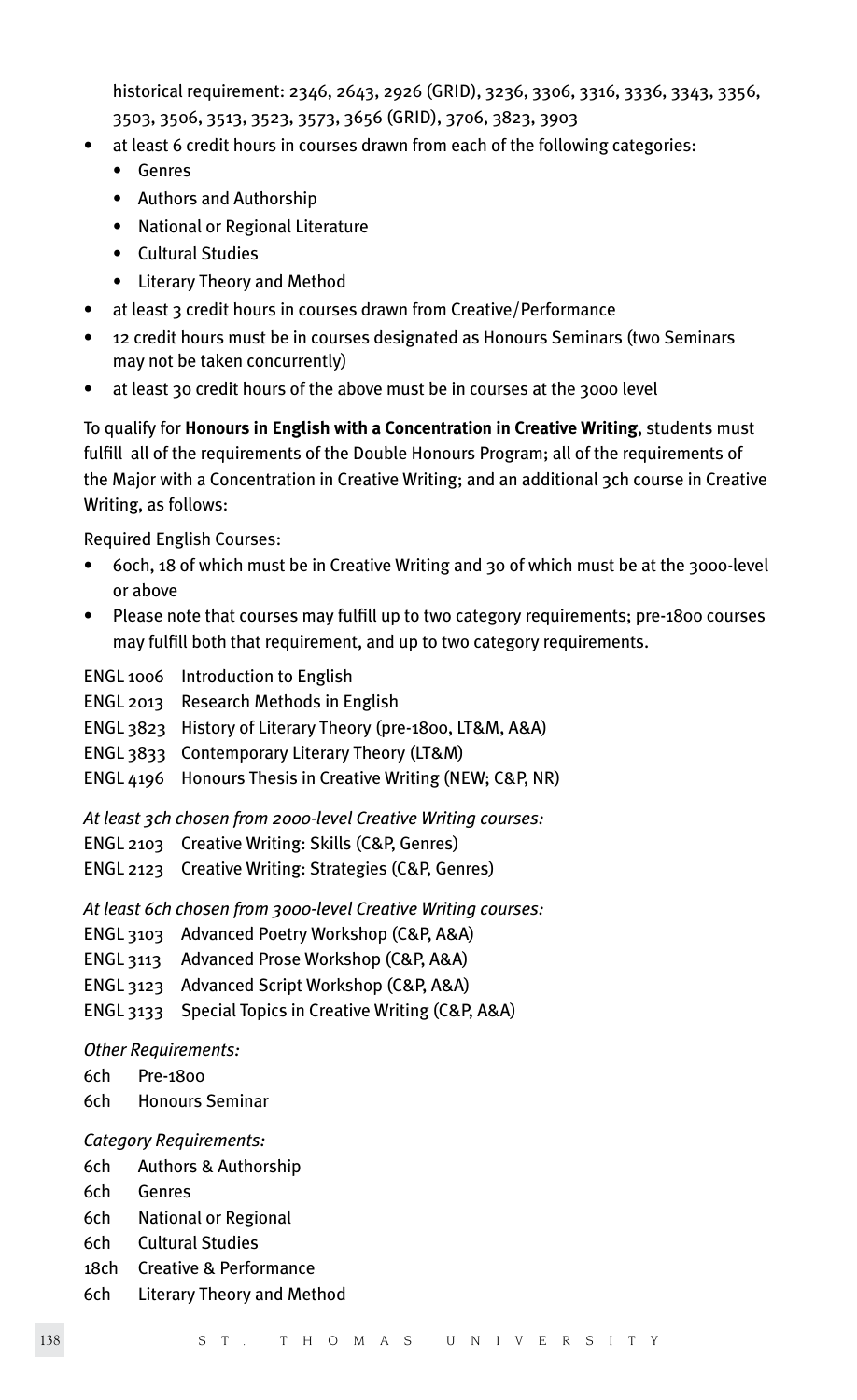historical requirement: 2346, 2643, 2926 (GRID), 3236, 3306, 3316, 3336, 3343, 3356, 3503, 3506, 3513, 3523, 3573, 3656 (GRID), 3706, 3823, 3903

- at least 6 credit hours in courses drawn from each of the following categories:
	- Genres
	- Authors and Authorship
	- National or Regional Literature
	- Cultural Studies
	- Literary Theory and Method
- at least 3 credit hours in courses drawn from Creative/Performance
- 12 credit hours must be in courses designated as Honours Seminars (two Seminars may not be taken concurrently)
- at least 30 credit hours of the above must be in courses at the 3000 level

To qualify for **Honours in English with a Concentration in Creative Writing**, students must fulfill all of the requirements of the Double Honours Program; all of the requirements of the Major with a Concentration in Creative Writing; and an additional 3ch course in Creative Writing, as follows:

Required English Courses:

- 60ch, 18 of which must be in Creative Writing and 30 of which must be at the 3000-level or above
- Please note that courses may fulfill up to two category requirements; pre-1800 courses may fulfill both that requirement, and up to two category requirements.

ENGL 1006 Introduction to English

- ENGL 2013 Research Methods in English
- ENGL 3823 History of Literary Theory (pre-1800, LT&M, A&A)
- ENGL 3833 Contemporary Literary Theory (LT&M)
- ENGL 4196 Honours Thesis in Creative Writing (NEW; C&P, NR)

*At least 3ch chosen from 2000-level Creative Writing courses:*

- ENGL 2103 Creative Writing: Skills (C&P, Genres)
- ENGL 2123 Creative Writing: Strategies (C&P, Genres)

*At least 6ch chosen from 3000-level Creative Writing courses:*

- ENGL 3103 Advanced Poetry Workshop (C&P, A&A)
- ENGL 3113 Advanced Prose Workshop (C&P, A&A)
- ENGL 3123 Advanced Script Workshop (C&P, A&A)
- ENGL 3133 Special Topics in Creative Writing (C&P, A&A)

## *Other Requirements:*

- 6ch Pre-1800
- 6ch Honours Seminar

## *Category Requirements:*

- 6ch Authors & Authorship
- 6ch Genres
- 6ch National or Regional
- 6ch Cultural Studies
- 18ch Creative & Performance
- 6ch Literary Theory and Method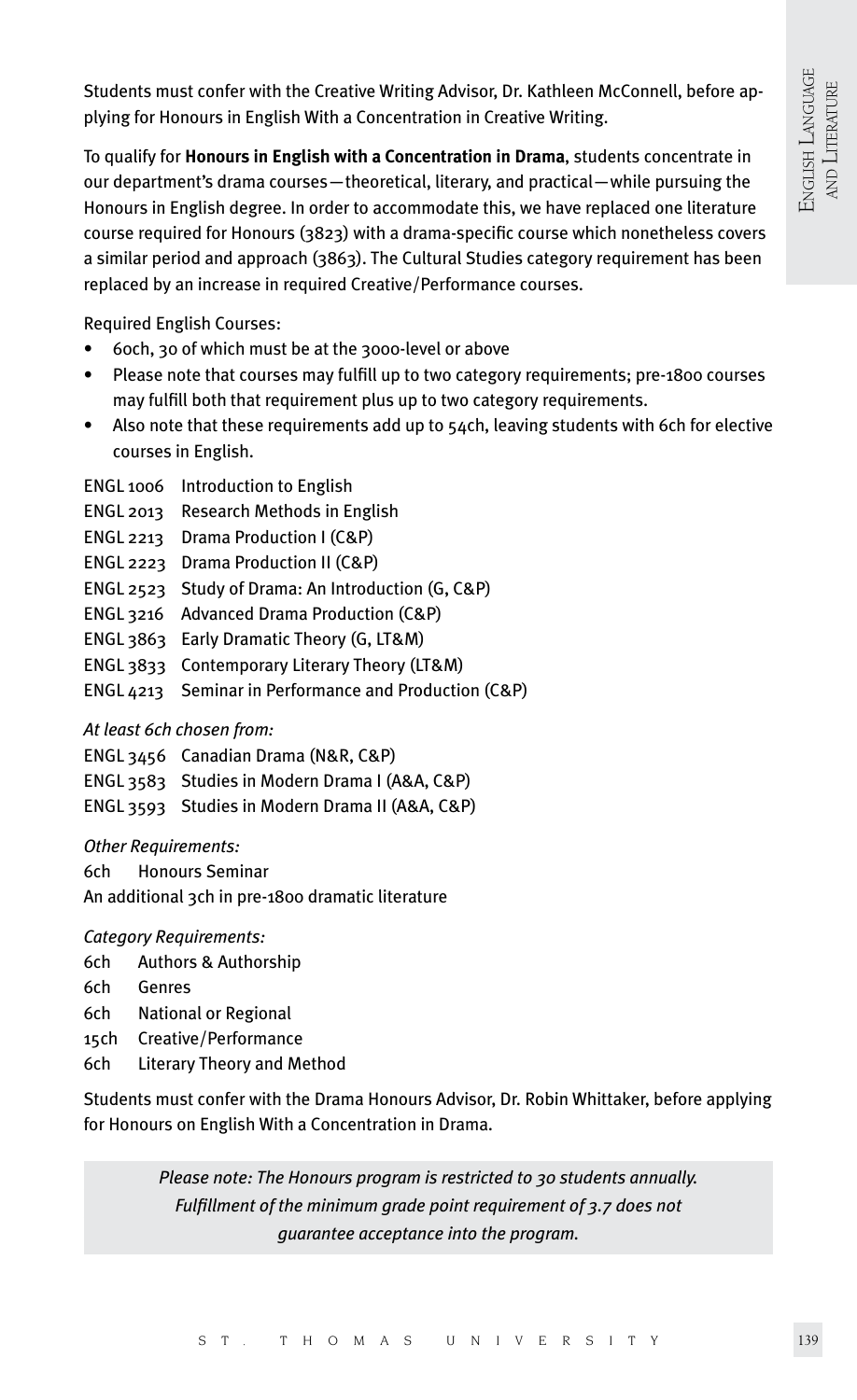Students must confer with the Creative Writing Advisor, Dr. Kathleen McConnell, before applying for Honours in English With a Concentration in Creative Writing.

To qualify for **Honours in English with a Concentration in Drama**, students concentrate in our department's drama courses—theoretical, literary, and practical—while pursuing the Honours in English degree. In order to accommodate this, we have replaced one literature course required for Honours (3823) with a drama-specific course which nonetheless covers a similar period and approach (3863). The Cultural Studies category requirement has been replaced by an increase in required Creative/Performance courses.

Required English Courses:

- 60ch, 30 of which must be at the 3000-level or above
- Please note that courses may fulfill up to two category requirements; pre-1800 courses may fulfill both that requirement plus up to two category requirements.
- Also note that these requirements add up to 54ch, leaving students with 6ch for elective courses in English.
- ENGL 1006 Introduction to English
- ENGL 2013 Research Methods in English
- ENGL 2213 Drama Production I (C&P)
- ENGL 2223 Drama Production II (C&P)
- ENGL 2523 Study of Drama: An Introduction (G, C&P)
- ENGL 3216 Advanced Drama Production (C&P)
- ENGL 3863 Early Dramatic Theory (G, LT&M)
- ENGL 3833 Contemporary Literary Theory (LT&M)
- ENGL 4213 Seminar in Performance and Production (C&P)

## *At least 6ch chosen from:*

- ENGL 3456 Canadian Drama (N&R, C&P)
- ENGL 3583 Studies in Modern Drama I (A&A, C&P)
- ENGL 3593 Studies in Modern Drama II (A&A, C&P)

*Other Requirements:*

6ch Honours Seminar

An additional 3ch in pre-1800 dramatic literature

*Category Requirements:*

- 6ch Authors & Authorship
- 6ch Genres
- 6ch National or Regional
- 15ch Creative/Performance
- 6ch Literary Theory and Method

Students must confer with the Drama Honours Advisor, Dr. Robin Whittaker, before applying for Honours on English With a Concentration in Drama.

> *Please note: The Honours program is restricted to 30 students annually. Fulfillment of the minimum grade point requirement of 3.7 does not guarantee acceptance into the program.*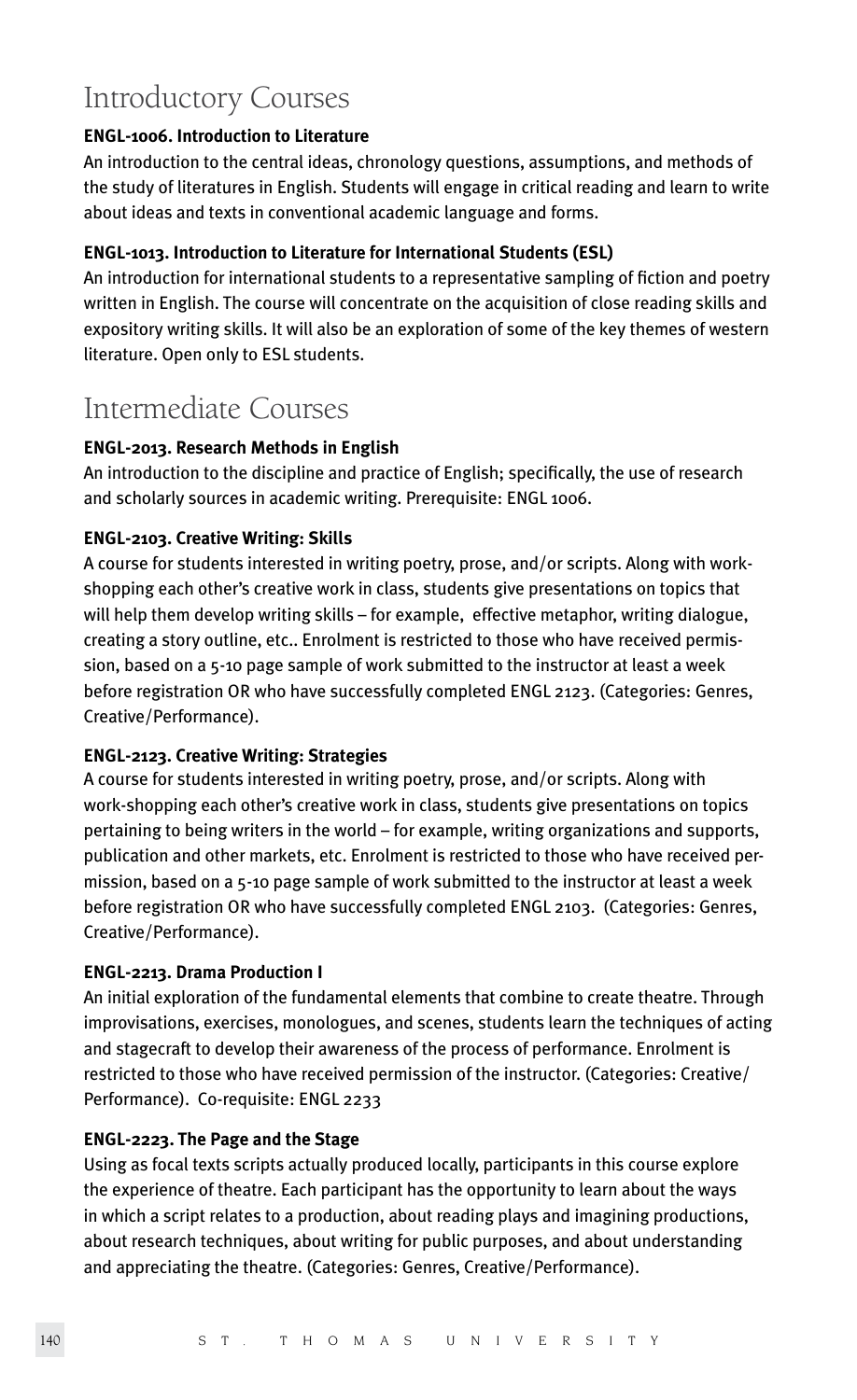## Introductory Courses

## **ENGL-1006. Introduction to Literature**

An introduction to the central ideas, chronology questions, assumptions, and methods of the study of literatures in English. Students will engage in critical reading and learn to write about ideas and texts in conventional academic language and forms.

## **ENGL-1013. Introduction to Literature for International Students (ESL)**

An introduction for international students to a representative sampling of fiction and poetry written in English. The course will concentrate on the acquisition of close reading skills and expository writing skills. It will also be an exploration of some of the key themes of western literature. Open only to ESL students.

## Intermediate Courses

## **ENGL-2013. Research Methods in English**

An introduction to the discipline and practice of English; specifically, the use of research and scholarly sources in academic writing. Prerequisite: ENGL 1006.

## **ENGL-2103. Creative Writing: Skills**

A course for students interested in writing poetry, prose, and/or scripts. Along with workshopping each other's creative work in class, students give presentations on topics that will help them develop writing skills – for example, effective metaphor, writing dialogue, creating a story outline, etc.. Enrolment is restricted to those who have received permission, based on a 5-10 page sample of work submitted to the instructor at least a week before registration OR who have successfully completed ENGL 2123. (Categories: Genres, Creative/Performance).

## **ENGL-2123. Creative Writing: Strategies**

A course for students interested in writing poetry, prose, and/or scripts. Along with work-shopping each other's creative work in class, students give presentations on topics pertaining to being writers in the world – for example, writing organizations and supports, publication and other markets, etc. Enrolment is restricted to those who have received permission, based on a 5-10 page sample of work submitted to the instructor at least a week before registration OR who have successfully completed ENGL 2103. (Categories: Genres, Creative/Performance).

## **ENGL-2213. Drama Production I**

An initial exploration of the fundamental elements that combine to create theatre. Through improvisations, exercises, monologues, and scenes, students learn the techniques of acting and stagecraft to develop their awareness of the process of performance. Enrolment is restricted to those who have received permission of the instructor. (Categories: Creative/ Performance). Co-requisite: ENGL 2233

## **ENGL-2223. The Page and the Stage**

Using as focal texts scripts actually produced locally, participants in this course explore the experience of theatre. Each participant has the opportunity to learn about the ways in which a script relates to a production, about reading plays and imagining productions, about research techniques, about writing for public purposes, and about understanding and appreciating the theatre. (Categories: Genres, Creative/Performance).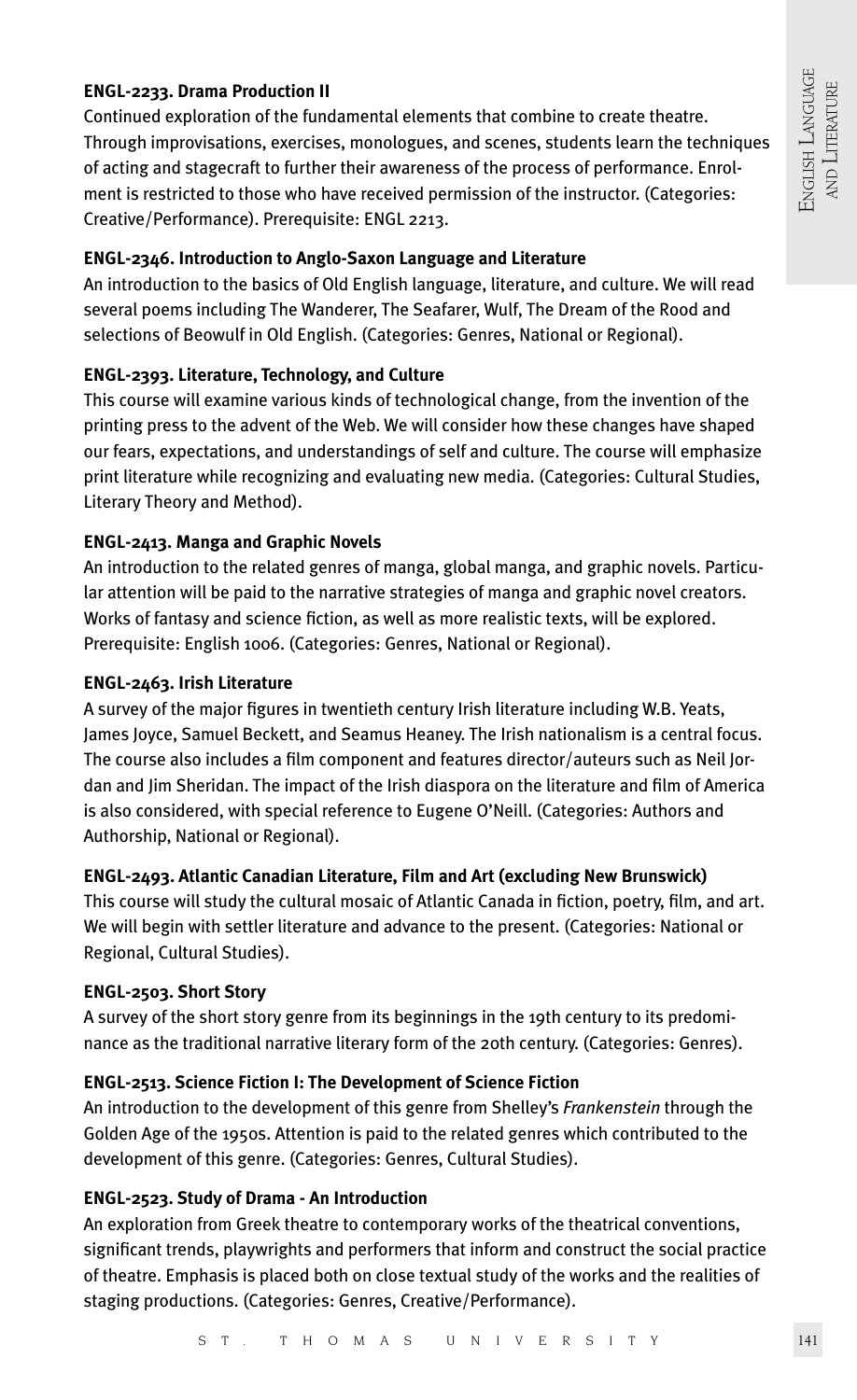## **ENGL-2233. Drama Production II**

Continued exploration of the fundamental elements that combine to create theatre. Through improvisations, exercises, monologues, and scenes, students learn the techniques of acting and stagecraft to further their awareness of the process of performance. Enrolment is restricted to those who have received permission of the instructor. (Categories: Creative/Performance). Prerequisite: ENGL 2213.

## **ENGL-2346. Introduction to Anglo-Saxon Language and Literature**

An introduction to the basics of Old English language, literature, and culture. We will read several poems including The Wanderer, The Seafarer, Wulf, The Dream of the Rood and selections of Beowulf in Old English. (Categories: Genres, National or Regional).

## **ENGL-2393. Literature, Technology, and Culture**

This course will examine various kinds of technological change, from the invention of the printing press to the advent of the Web. We will consider how these changes have shaped our fears, expectations, and understandings of self and culture. The course will emphasize print literature while recognizing and evaluating new media. (Categories: Cultural Studies, Literary Theory and Method).

## **ENGL-2413. Manga and Graphic Novels**

An introduction to the related genres of manga, global manga, and graphic novels. Particular attention will be paid to the narrative strategies of manga and graphic novel creators. Works of fantasy and science fiction, as well as more realistic texts, will be explored. Prerequisite: English 1006. (Categories: Genres, National or Regional).

## **ENGL-2463. Irish Literature**

A survey of the major figures in twentieth century Irish literature including W.B. Yeats, James Joyce, Samuel Beckett, and Seamus Heaney. The Irish nationalism is a central focus. The course also includes a film component and features director/auteurs such as Neil Jordan and Jim Sheridan. The impact of the Irish diaspora on the literature and film of America is also considered, with special reference to Eugene O'Neill. (Categories: Authors and Authorship, National or Regional).

## **ENGL-2493. Atlantic Canadian Literature, Film and Art (excluding New Brunswick)**

This course will study the cultural mosaic of Atlantic Canada in fiction, poetry, film, and art. We will begin with settler literature and advance to the present. (Categories: National or Regional, Cultural Studies).

## **ENGL-2503. Short Story**

A survey of the short story genre from its beginnings in the 19th century to its predominance as the traditional narrative literary form of the 20th century. (Categories: Genres).

## **ENGL-2513. Science Fiction I: The Development of Science Fiction**

An introduction to the development of this genre from Shelley's *Frankenstein* through the Golden Age of the 1950s. Attention is paid to the related genres which contributed to the development of this genre. (Categories: Genres, Cultural Studies).

## **ENGL-2523. Study of Drama - An Introduction**

An exploration from Greek theatre to contemporary works of the theatrical conventions, significant trends, playwrights and performers that inform and construct the social practice of theatre. Emphasis is placed both on close textual study of the works and the realities of staging productions. (Categories: Genres, Creative/Performance).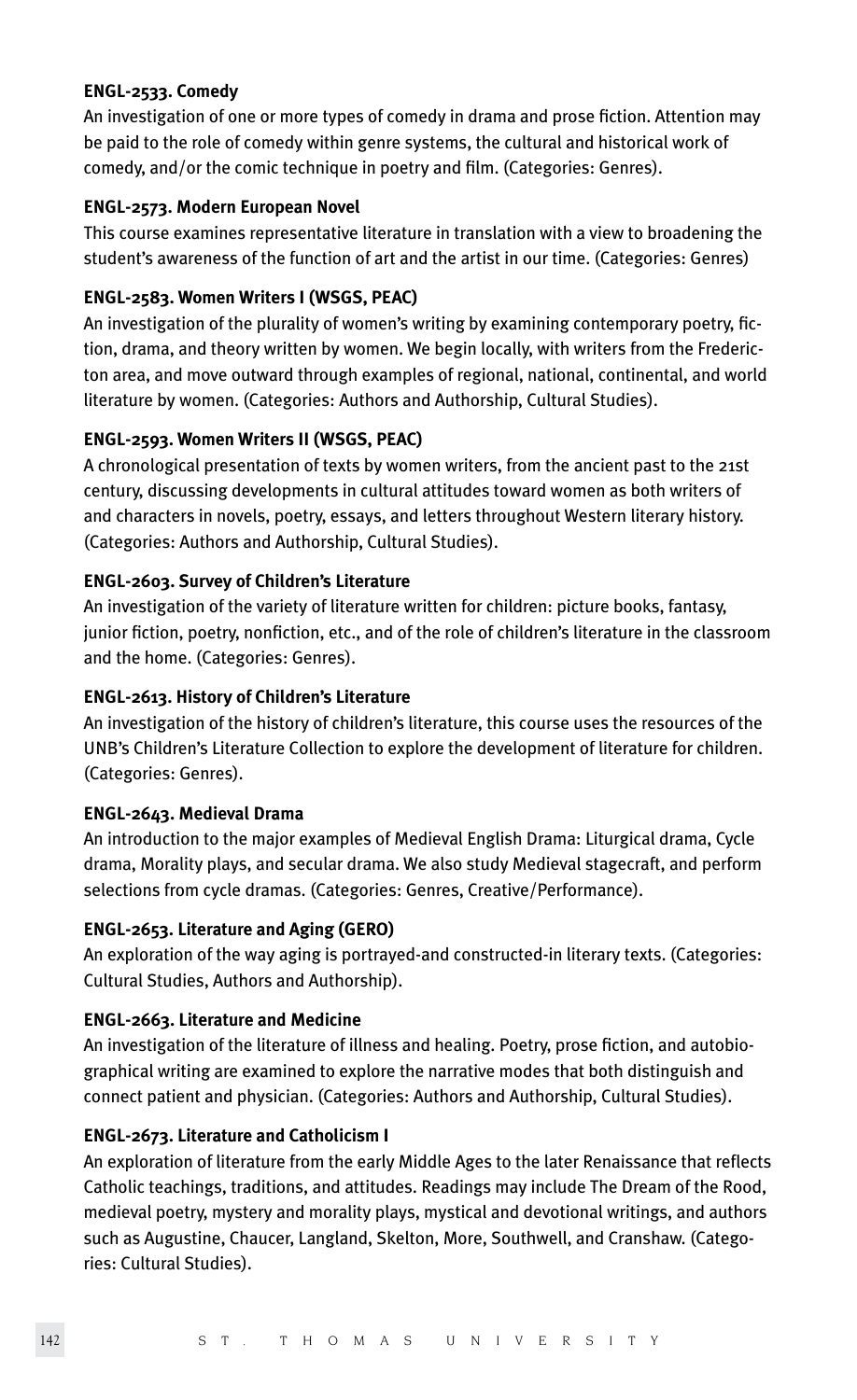## **ENGL-2533. Comedy**

An investigation of one or more types of comedy in drama and prose fiction. Attention may be paid to the role of comedy within genre systems, the cultural and historical work of comedy, and/or the comic technique in poetry and film. (Categories: Genres).

## **ENGL-2573. Modern European Novel**

This course examines representative literature in translation with a view to broadening the student's awareness of the function of art and the artist in our time. (Categories: Genres)

## **ENGL-2583. Women Writers I (WSGS, PEAC)**

An investigation of the plurality of women's writing by examining contemporary poetry, fiction, drama, and theory written by women. We begin locally, with writers from the Fredericton area, and move outward through examples of regional, national, continental, and world literature by women. (Categories: Authors and Authorship, Cultural Studies).

## **ENGL-2593. Women Writers II (WSGS, PEAC)**

A chronological presentation of texts by women writers, from the ancient past to the 21st century, discussing developments in cultural attitudes toward women as both writers of and characters in novels, poetry, essays, and letters throughout Western literary history. (Categories: Authors and Authorship, Cultural Studies).

## **ENGL-2603. Survey of Children's Literature**

An investigation of the variety of literature written for children: picture books, fantasy, junior fiction, poetry, nonfiction, etc., and of the role of children's literature in the classroom and the home. (Categories: Genres).

## **ENGL-2613. History of Children's Literature**

An investigation of the history of children's literature, this course uses the resources of the UNB's Children's Literature Collection to explore the development of literature for children. (Categories: Genres).

## **ENGL-2643. Medieval Drama**

An introduction to the major examples of Medieval English Drama: Liturgical drama, Cycle drama, Morality plays, and secular drama. We also study Medieval stagecraft, and perform selections from cycle dramas. (Categories: Genres, Creative/Performance).

## **ENGL-2653. Literature and Aging (GERO)**

An exploration of the way aging is portrayed-and constructed-in literary texts. (Categories: Cultural Studies, Authors and Authorship).

## **ENGL-2663. Literature and Medicine**

An investigation of the literature of illness and healing. Poetry, prose fiction, and autobiographical writing are examined to explore the narrative modes that both distinguish and connect patient and physician. (Categories: Authors and Authorship, Cultural Studies).

## **ENGL-2673. Literature and Catholicism I**

An exploration of literature from the early Middle Ages to the later Renaissance that reflects Catholic teachings, traditions, and attitudes. Readings may include The Dream of the Rood, medieval poetry, mystery and morality plays, mystical and devotional writings, and authors such as Augustine, Chaucer, Langland, Skelton, More, Southwell, and Cranshaw. (Categories: Cultural Studies).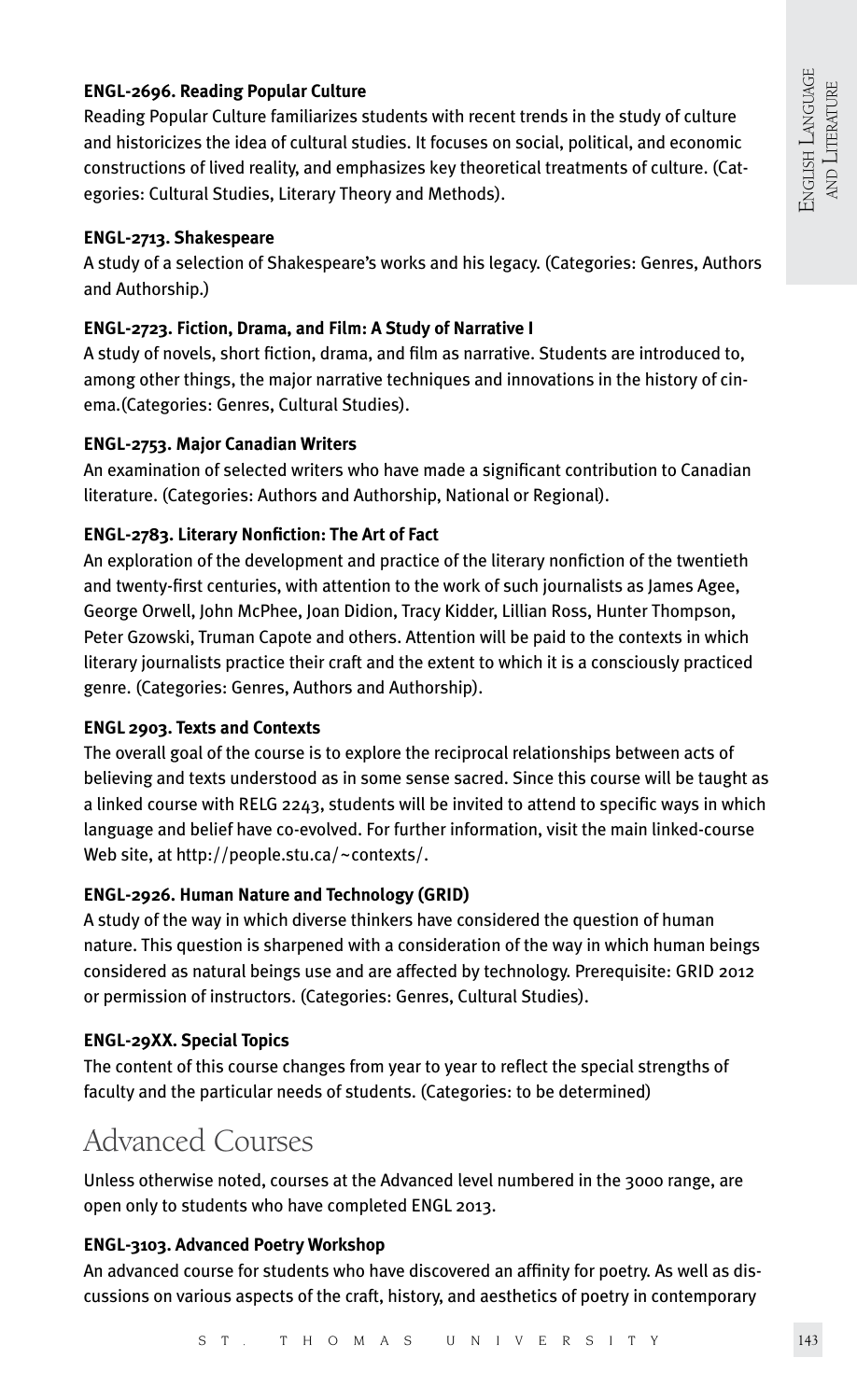## **ENGL-2696. Reading Popular Culture**

Reading Popular Culture familiarizes students with recent trends in the study of culture and historicizes the idea of cultural studies. It focuses on social, political, and economic constructions of lived reality, and emphasizes key theoretical treatments of culture. (Categories: Cultural Studies, Literary Theory and Methods).

#### **ENGL-2713. Shakespeare**

A study of a selection of Shakespeare's works and his legacy. (Categories: Genres, Authors and Authorship.)

#### **ENGL-2723. Fiction, Drama, and Film: A Study of Narrative I**

A study of novels, short fiction, drama, and film as narrative. Students are introduced to, among other things, the major narrative techniques and innovations in the history of cinema.(Categories: Genres, Cultural Studies).

#### **ENGL-2753. Major Canadian Writers**

An examination of selected writers who have made a significant contribution to Canadian literature. (Categories: Authors and Authorship, National or Regional).

#### **ENGL-2783. Literary Nonfiction: The Art of Fact**

An exploration of the development and practice of the literary nonfiction of the twentieth and twenty-first centuries, with attention to the work of such journalists as James Agee, George Orwell, John McPhee, Joan Didion, Tracy Kidder, Lillian Ross, Hunter Thompson, Peter Gzowski, Truman Capote and others. Attention will be paid to the contexts in which literary journalists practice their craft and the extent to which it is a consciously practiced genre. (Categories: Genres, Authors and Authorship).

#### **ENGL 2903. Texts and Contexts**

The overall goal of the course is to explore the reciprocal relationships between acts of believing and texts understood as in some sense sacred. Since this course will be taught as a linked course with RELG 2243, students will be invited to attend to specific ways in which language and belief have co-evolved. For further information, visit the main linked-course Web site, at http://people.stu.ca/~contexts/.

#### **ENGL-2926. Human Nature and Technology (GRID)**

A study of the way in which diverse thinkers have considered the question of human nature. This question is sharpened with a consideration of the way in which human beings considered as natural beings use and are affected by technology. Prerequisite: GRID 2012 or permission of instructors. (Categories: Genres, Cultural Studies).

#### **ENGL-29XX. Special Topics**

The content of this course changes from year to year to reflect the special strengths of faculty and the particular needs of students. (Categories: to be determined)

## Advanced Courses

Unless otherwise noted, courses at the Advanced level numbered in the 3000 range, are open only to students who have completed ENGL 2013.

#### **ENGL-3103. Advanced Poetry Workshop**

An advanced course for students who have discovered an affinity for poetry. As well as discussions on various aspects of the craft, history, and aesthetics of poetry in contemporary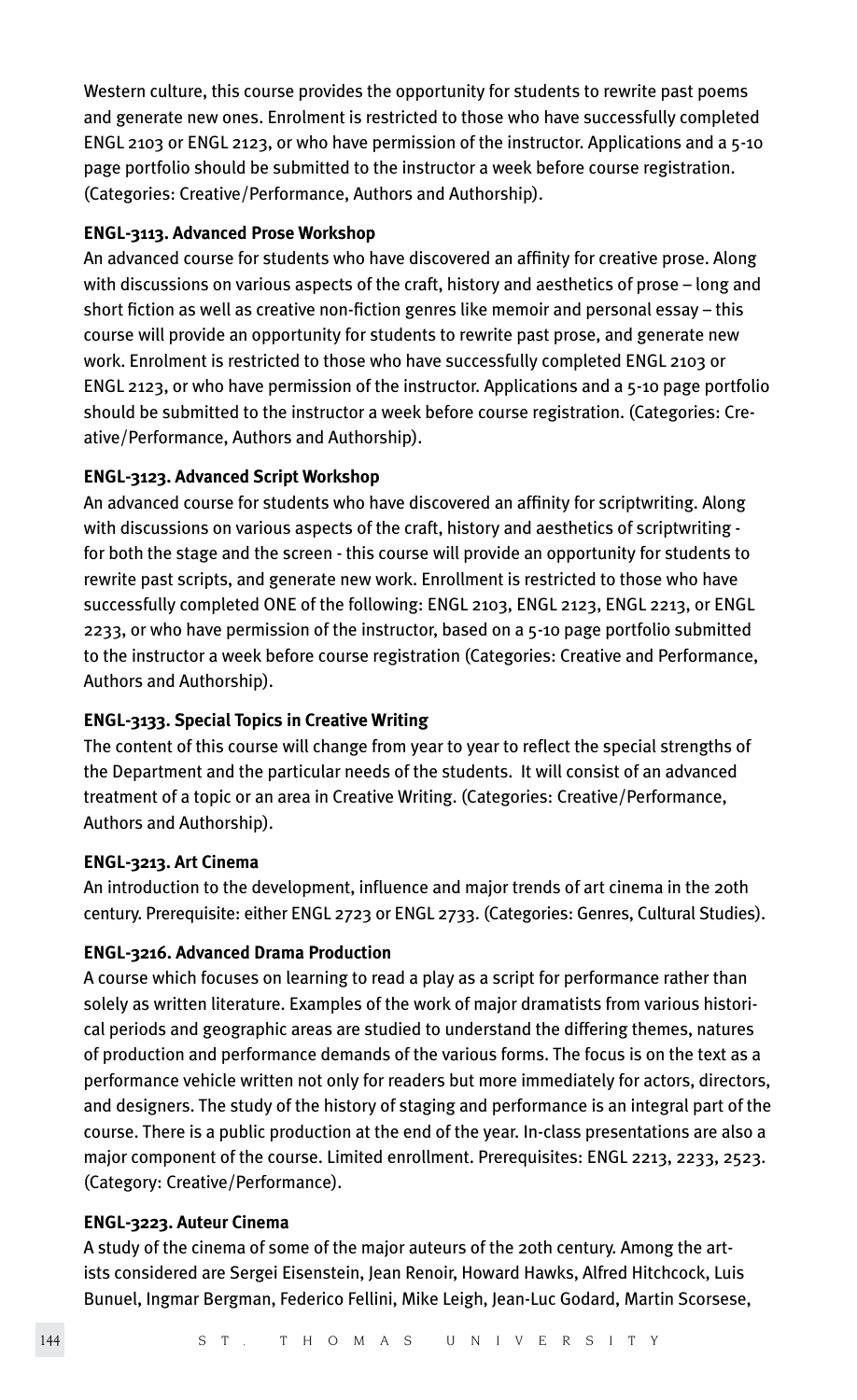Western culture, this course provides the opportunity for students to rewrite past poems and generate new ones. Enrolment is restricted to those who have successfully completed ENGL 2103 or ENGL 2123, or who have permission of the instructor. Applications and a 5-10 page portfolio should be submitted to the instructor a week before course registration. (Categories: Creative/Performance, Authors and Authorship).

## **ENGL-3113. Advanced Prose Workshop**

An advanced course for students who have discovered an affinity for creative prose. Along with discussions on various aspects of the craft, history and aesthetics of prose – long and short fiction as well as creative non-fiction genres like memoir and personal essay – this course will provide an opportunity for students to rewrite past prose, and generate new work. Enrolment is restricted to those who have successfully completed ENGL 2103 or ENGL 2123, or who have permission of the instructor. Applications and a 5-10 page portfolio should be submitted to the instructor a week before course registration. (Categories: Creative/Performance, Authors and Authorship).

## **ENGL-3123. Advanced Script Workshop**

An advanced course for students who have discovered an affinity for scriptwriting. Along with discussions on various aspects of the craft, history and aesthetics of scriptwriting for both the stage and the screen - this course will provide an opportunity for students to rewrite past scripts, and generate new work. Enrollment is restricted to those who have successfully completed ONE of the following: ENGL 2103, ENGL 2123, ENGL 2213, or ENGL 2233, or who have permission of the instructor, based on a 5-10 page portfolio submitted to the instructor a week before course registration (Categories: Creative and Performance, Authors and Authorship).

## **ENGL-3133. Special Topics in Creative Writing**

The content of this course will change from year to year to reflect the special strengths of the Department and the particular needs of the students. It will consist of an advanced treatment of a topic or an area in Creative Writing. (Categories: Creative/Performance, Authors and Authorship).

## **ENGL-3213. Art Cinema**

An introduction to the development, influence and major trends of art cinema in the 20th century. Prerequisite: either ENGL 2723 or ENGL 2733. (Categories: Genres, Cultural Studies).

## **ENGL-3216. Advanced Drama Production**

A course which focuses on learning to read a play as a script for performance rather than solely as written literature. Examples of the work of major dramatists from various historical periods and geographic areas are studied to understand the differing themes, natures of production and performance demands of the various forms. The focus is on the text as a performance vehicle written not only for readers but more immediately for actors, directors, and designers. The study of the history of staging and performance is an integral part of the course. There is a public production at the end of the year. In-class presentations are also a major component of the course. Limited enrollment. Prerequisites: ENGL 2213, 2233, 2523. (Category: Creative/Performance).

## **ENGL-3223. Auteur Cinema**

A study of the cinema of some of the major auteurs of the 20th century. Among the artists considered are Sergei Eisenstein, Jean Renoir, Howard Hawks, Alfred Hitchcock, Luis Bunuel, Ingmar Bergman, Federico Fellini, Mike Leigh, Jean-Luc Godard, Martin Scorsese,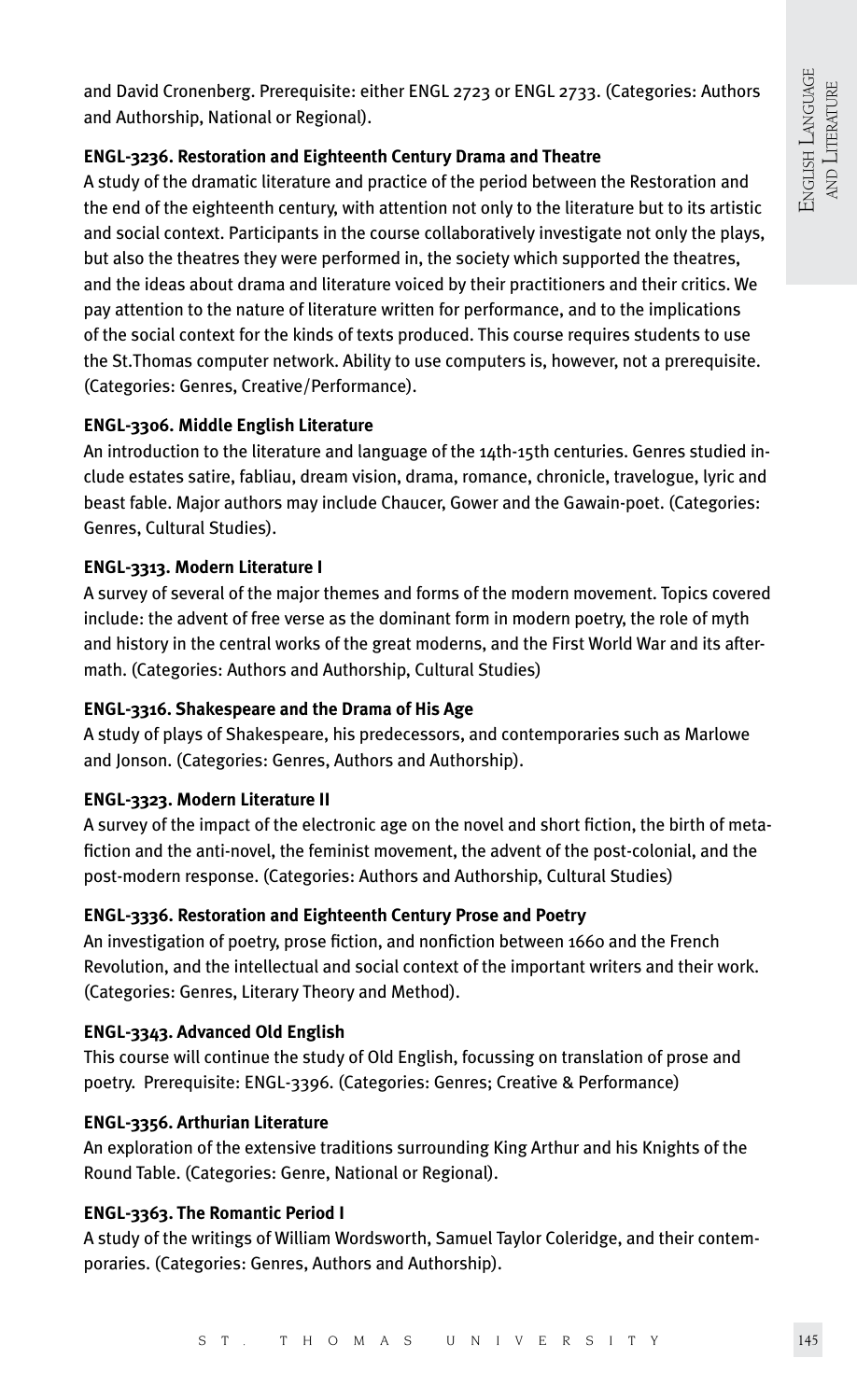and David Cronenberg. Prerequisite: either ENGL 2723 or ENGL 2733. (Categories: Authors and Authorship, National or Regional).

## **ENGL-3236. Restoration and Eighteenth Century Drama and Theatre**

A study of the dramatic literature and practice of the period between the Restoration and the end of the eighteenth century, with attention not only to the literature but to its artistic and social context. Participants in the course collaboratively investigate not only the plays, but also the theatres they were performed in, the society which supported the theatres, and the ideas about drama and literature voiced by their practitioners and their critics. We pay attention to the nature of literature written for performance, and to the implications of the social context for the kinds of texts produced. This course requires students to use the St.Thomas computer network. Ability to use computers is, however, not a prerequisite. (Categories: Genres, Creative/Performance).

## **ENGL-3306. Middle English Literature**

An introduction to the literature and language of the 14th-15th centuries. Genres studied include estates satire, fabliau, dream vision, drama, romance, chronicle, travelogue, lyric and beast fable. Major authors may include Chaucer, Gower and the Gawain-poet. (Categories: Genres, Cultural Studies).

## **ENGL-3313. Modern Literature I**

A survey of several of the major themes and forms of the modern movement. Topics covered include: the advent of free verse as the dominant form in modern poetry, the role of myth and history in the central works of the great moderns, and the First World War and its aftermath. (Categories: Authors and Authorship, Cultural Studies)

## **ENGL-3316. Shakespeare and the Drama of His Age**

A study of plays of Shakespeare, his predecessors, and contemporaries such as Marlowe and Jonson. (Categories: Genres, Authors and Authorship).

## **ENGL-3323. Modern Literature II**

A survey of the impact of the electronic age on the novel and short fiction, the birth of metafiction and the anti-novel, the feminist movement, the advent of the post-colonial, and the post-modern response. (Categories: Authors and Authorship, Cultural Studies)

## **ENGL-3336. Restoration and Eighteenth Century Prose and Poetry**

An investigation of poetry, prose fiction, and nonfiction between 1660 and the French Revolution, and the intellectual and social context of the important writers and their work. (Categories: Genres, Literary Theory and Method).

## **ENGL-3343. Advanced Old English**

This course will continue the study of Old English, focussing on translation of prose and poetry. Prerequisite: ENGL-3396. (Categories: Genres; Creative & Performance)

## **ENGL-3356. Arthurian Literature**

An exploration of the extensive traditions surrounding King Arthur and his Knights of the Round Table. (Categories: Genre, National or Regional).

## **ENGL-3363. The Romantic Period I**

A study of the writings of William Wordsworth, Samuel Taylor Coleridge, and their contemporaries. (Categories: Genres, Authors and Authorship).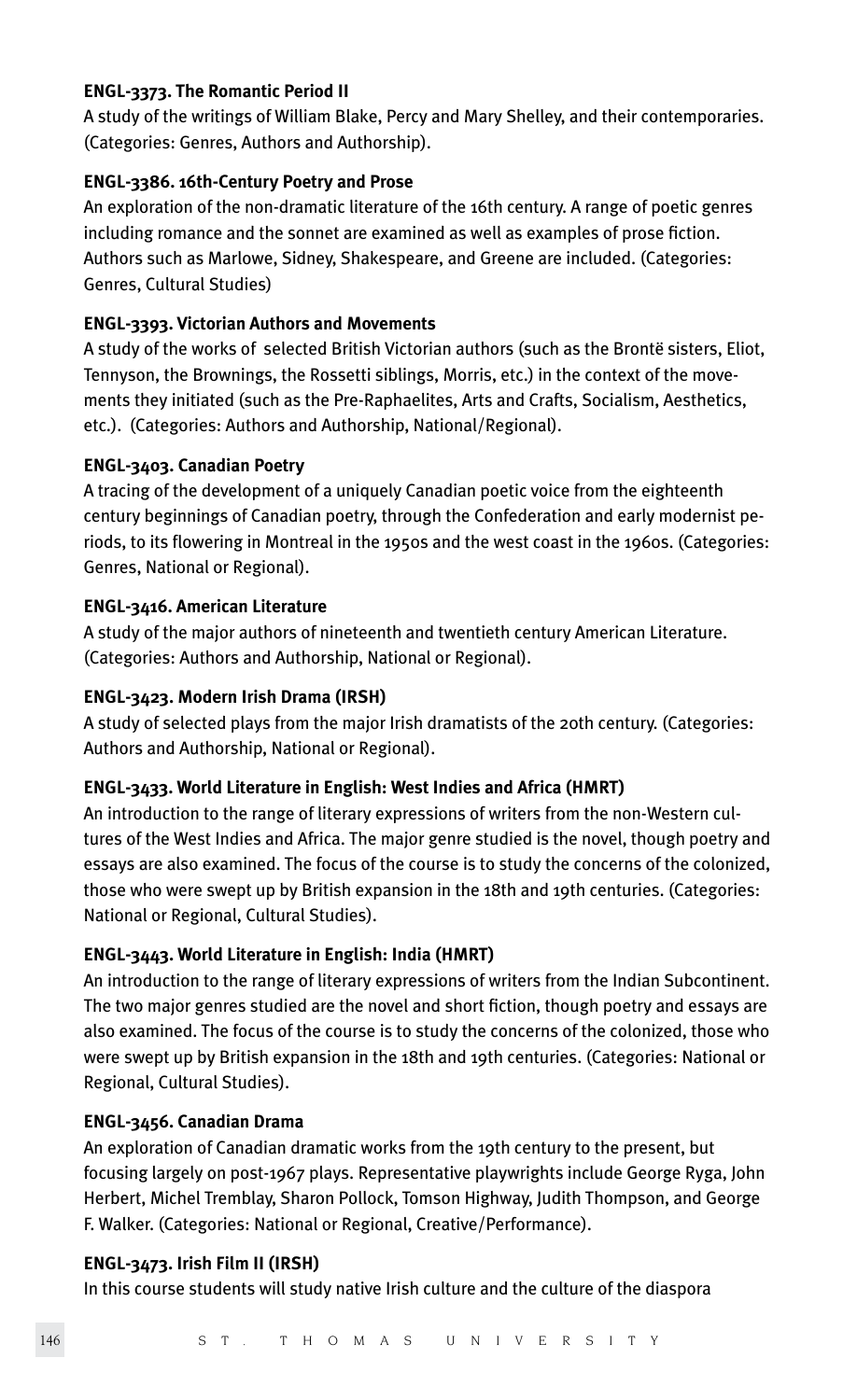## **ENGL-3373. The Romantic Period II**

A study of the writings of William Blake, Percy and Mary Shelley, and their contemporaries. (Categories: Genres, Authors and Authorship).

## **ENGL-3386. 16th-Century Poetry and Prose**

An exploration of the non-dramatic literature of the 16th century. A range of poetic genres including romance and the sonnet are examined as well as examples of prose fiction. Authors such as Marlowe, Sidney, Shakespeare, and Greene are included. (Categories: Genres, Cultural Studies)

## **ENGL-3393. Victorian Authors and Movements**

A study of the works of selected British Victorian authors (such as the Brontë sisters, Eliot, Tennyson, the Brownings, the Rossetti siblings, Morris, etc.) in the context of the movements they initiated (such as the Pre-Raphaelites, Arts and Crafts, Socialism, Aesthetics, etc.). (Categories: Authors and Authorship, National/Regional).

## **ENGL-3403. Canadian Poetry**

A tracing of the development of a uniquely Canadian poetic voice from the eighteenth century beginnings of Canadian poetry, through the Confederation and early modernist periods, to its flowering in Montreal in the 1950s and the west coast in the 1960s. (Categories: Genres, National or Regional).

## **ENGL-3416. American Literature**

A study of the major authors of nineteenth and twentieth century American Literature. (Categories: Authors and Authorship, National or Regional).

## **ENGL-3423. Modern Irish Drama (IRSH)**

A study of selected plays from the major Irish dramatists of the 20th century. (Categories: Authors and Authorship, National or Regional).

## **ENGL-3433. World Literature in English: West Indies and Africa (HMRT)**

An introduction to the range of literary expressions of writers from the non-Western cultures of the West Indies and Africa. The major genre studied is the novel, though poetry and essays are also examined. The focus of the course is to study the concerns of the colonized, those who were swept up by British expansion in the 18th and 19th centuries. (Categories: National or Regional, Cultural Studies).

## **ENGL-3443. World Literature in English: India (HMRT)**

An introduction to the range of literary expressions of writers from the Indian Subcontinent. The two major genres studied are the novel and short fiction, though poetry and essays are also examined. The focus of the course is to study the concerns of the colonized, those who were swept up by British expansion in the 18th and 19th centuries. (Categories: National or Regional, Cultural Studies).

## **ENGL-3456. Canadian Drama**

An exploration of Canadian dramatic works from the 19th century to the present, but focusing largely on post-1967 plays. Representative playwrights include George Ryga, John Herbert, Michel Tremblay, Sharon Pollock, Tomson Highway, Judith Thompson, and George F. Walker. (Categories: National or Regional, Creative/Performance).

## **ENGL-3473. Irish Film II (IRSH)**

In this course students will study native Irish culture and the culture of the diaspora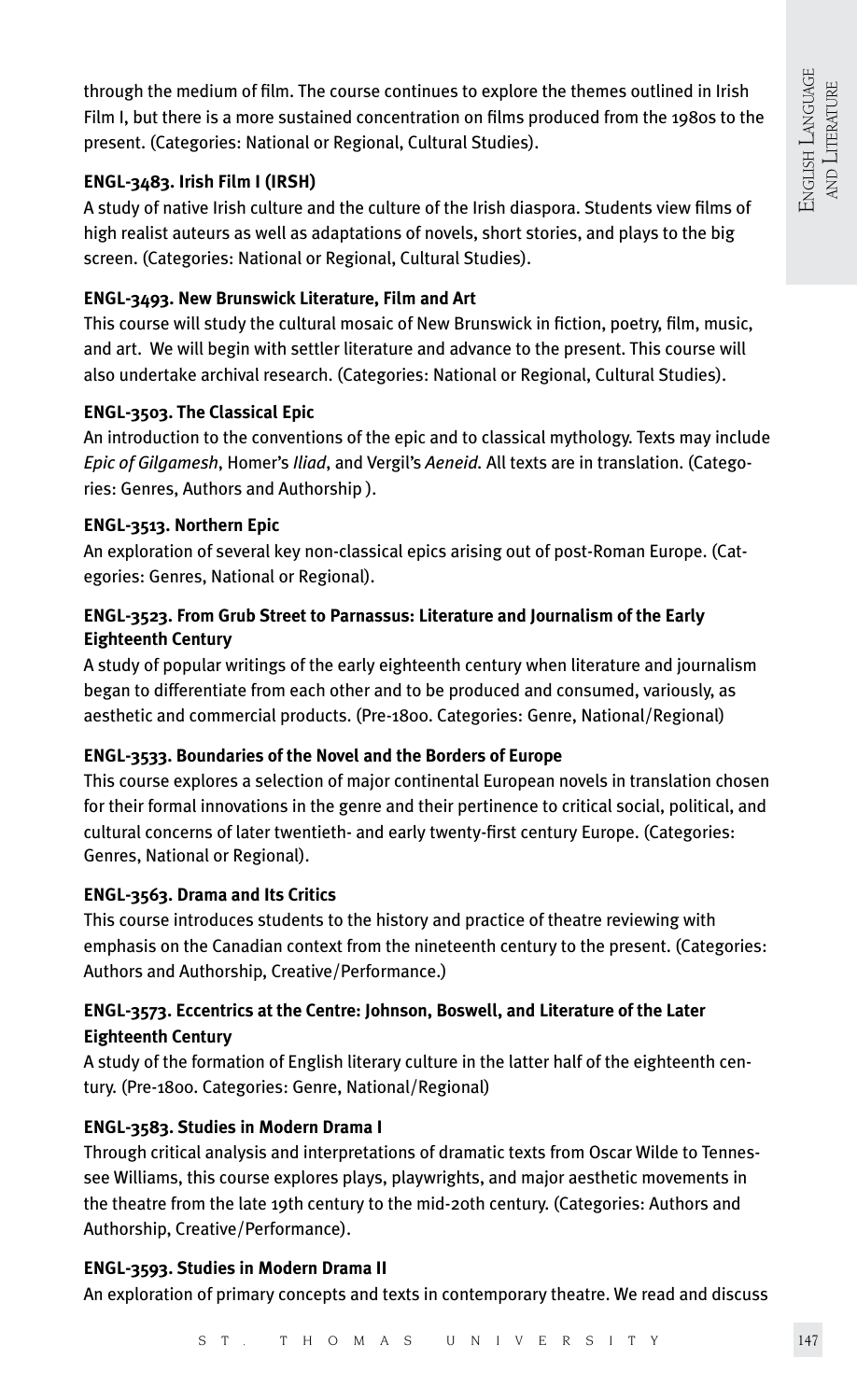through the medium of film. The course continues to explore the themes outlined in Irish Film I, but there is a more sustained concentration on films produced from the 1980s to the present. (Categories: National or Regional, Cultural Studies).

## **ENGL-3483. Irish Film I (IRSH)**

A study of native Irish culture and the culture of the Irish diaspora. Students view films of high realist auteurs as well as adaptations of novels, short stories, and plays to the big screen. (Categories: National or Regional, Cultural Studies).

## **ENGL-3493. New Brunswick Literature, Film and Art**

This course will study the cultural mosaic of New Brunswick in fiction, poetry, film, music, and art. We will begin with settler literature and advance to the present. This course will also undertake archival research. (Categories: National or Regional, Cultural Studies).

## **ENGL-3503. The Classical Epic**

An introduction to the conventions of the epic and to classical mythology. Texts may include *Epic of Gilgamesh*, Homer's *Iliad*, and Vergil's *Aeneid.* All texts are in translation. (Categories: Genres, Authors and Authorship ).

## **ENGL-3513. Northern Epic**

An exploration of several key non-classical epics arising out of post-Roman Europe. (Categories: Genres, National or Regional).

## **ENGL-3523. From Grub Street to Parnassus: Literature and Journalism of the Early Eighteenth Century**

A study of popular writings of the early eighteenth century when literature and journalism began to differentiate from each other and to be produced and consumed, variously, as aesthetic and commercial products. (Pre-1800. Categories: Genre, National/Regional)

## **ENGL-3533. Boundaries of the Novel and the Borders of Europe**

This course explores a selection of major continental European novels in translation chosen for their formal innovations in the genre and their pertinence to critical social, political, and cultural concerns of later twentieth- and early twenty-first century Europe. (Categories: Genres, National or Regional).

## **ENGL-3563. Drama and Its Critics**

This course introduces students to the history and practice of theatre reviewing with emphasis on the Canadian context from the nineteenth century to the present. (Categories: Authors and Authorship, Creative/Performance.)

## **ENGL-3573. Eccentrics at the Centre: Johnson, Boswell, and Literature of the Later Eighteenth Century**

A study of the formation of English literary culture in the latter half of the eighteenth century. (Pre-1800. Categories: Genre, National/Regional)

## **ENGL-3583. Studies in Modern Drama I**

Through critical analysis and interpretations of dramatic texts from Oscar Wilde to Tennessee Williams, this course explores plays, playwrights, and major aesthetic movements in the theatre from the late 19th century to the mid-20th century. (Categories: Authors and Authorship, Creative/Performance).

## **ENGL-3593. Studies in Modern Drama II**

An exploration of primary concepts and texts in contemporary theatre. We read and discuss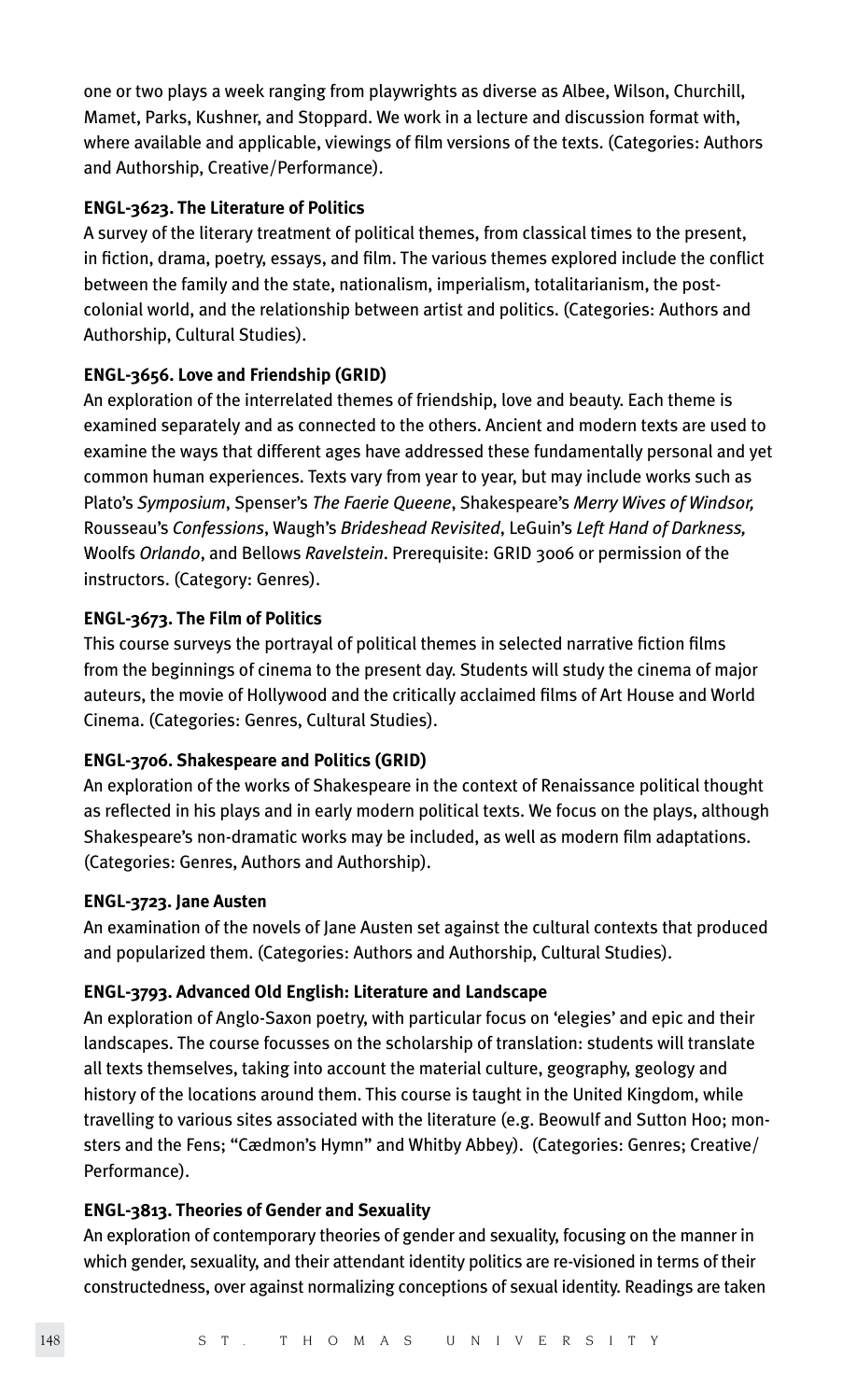one or two plays a week ranging from playwrights as diverse as Albee, Wilson, Churchill, Mamet, Parks, Kushner, and Stoppard. We work in a lecture and discussion format with, where available and applicable, viewings of film versions of the texts. (Categories: Authors and Authorship, Creative/Performance).

## **ENGL-3623. The Literature of Politics**

A survey of the literary treatment of political themes, from classical times to the present, in fiction, drama, poetry, essays, and film. The various themes explored include the conflict between the family and the state, nationalism, imperialism, totalitarianism, the postcolonial world, and the relationship between artist and politics. (Categories: Authors and Authorship, Cultural Studies).

## **ENGL-3656. Love and Friendship (GRID)**

An exploration of the interrelated themes of friendship, love and beauty. Each theme is examined separately and as connected to the others. Ancient and modern texts are used to examine the ways that different ages have addressed these fundamentally personal and yet common human experiences. Texts vary from year to year, but may include works such as Plato's *Symposium*, Spenser's *The Faerie Queene*, Shakespeare's *Merry Wives of Windsor,* Rousseau's *Confessions*, Waugh's *Brideshead Revisited*, LeGuin's *Left Hand of Darkness,* Woolfs *Orlando*, and Bellows *Ravelstein*. Prerequisite: GRID 3006 or permission of the instructors. (Category: Genres).

## **ENGL-3673. The Film of Politics**

This course surveys the portrayal of political themes in selected narrative fiction films from the beginnings of cinema to the present day. Students will study the cinema of major auteurs, the movie of Hollywood and the critically acclaimed films of Art House and World Cinema. (Categories: Genres, Cultural Studies).

## **ENGL-3706. Shakespeare and Politics (GRID)**

An exploration of the works of Shakespeare in the context of Renaissance political thought as reflected in his plays and in early modern political texts. We focus on the plays, although Shakespeare's non-dramatic works may be included, as well as modern film adaptations. (Categories: Genres, Authors and Authorship).

## **ENGL-3723. Jane Austen**

An examination of the novels of Jane Austen set against the cultural contexts that produced and popularized them. (Categories: Authors and Authorship, Cultural Studies).

## **ENGL-3793. Advanced Old English: Literature and Landscape**

An exploration of Anglo-Saxon poetry, with particular focus on 'elegies' and epic and their landscapes. The course focusses on the scholarship of translation: students will translate all texts themselves, taking into account the material culture, geography, geology and history of the locations around them. This course is taught in the United Kingdom, while travelling to various sites associated with the literature (e.g. Beowulf and Sutton Hoo; monsters and the Fens; "Cædmon's Hymn" and Whitby Abbey). (Categories: Genres; Creative/ Performance).

## **ENGL-3813. Theories of Gender and Sexuality**

An exploration of contemporary theories of gender and sexuality, focusing on the manner in which gender, sexuality, and their attendant identity politics are re-visioned in terms of their constructedness, over against normalizing conceptions of sexual identity. Readings are taken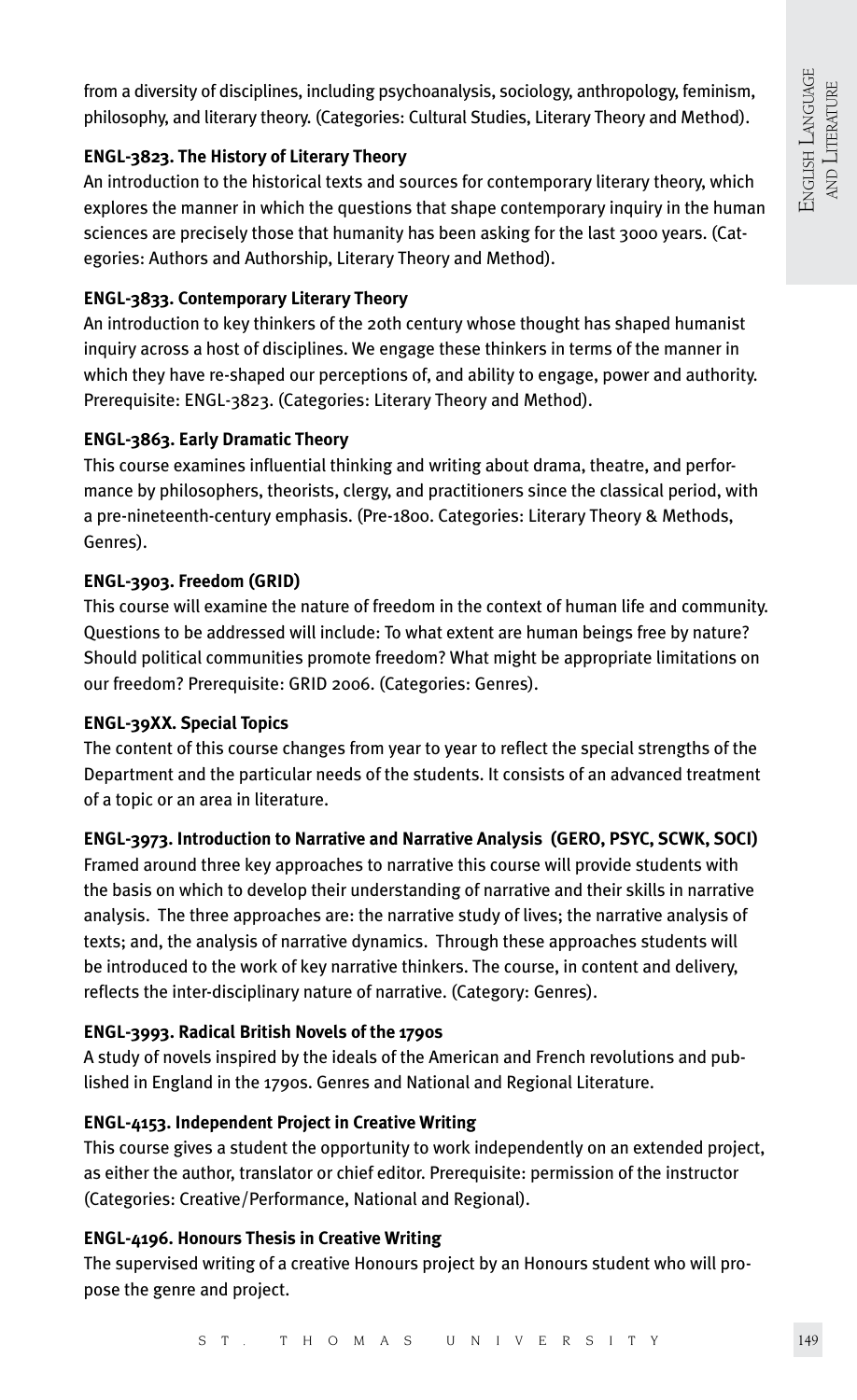from a diversity of disciplines, including psychoanalysis, sociology, anthropology, feminism, philosophy, and literary theory. (Categories: Cultural Studies, Literary Theory and Method).

## **ENGL-3823. The History of Literary Theory**

An introduction to the historical texts and sources for contemporary literary theory, which explores the manner in which the questions that shape contemporary inquiry in the human sciences are precisely those that humanity has been asking for the last 3000 years. (Categories: Authors and Authorship, Literary Theory and Method).

## **ENGL-3833. Contemporary Literary Theory**

An introduction to key thinkers of the 20th century whose thought has shaped humanist inquiry across a host of disciplines. We engage these thinkers in terms of the manner in which they have re-shaped our perceptions of, and ability to engage, power and authority. Prerequisite: ENGL-3823. (Categories: Literary Theory and Method).

## **ENGL-3863. Early Dramatic Theory**

This course examines influential thinking and writing about drama, theatre, and performance by philosophers, theorists, clergy, and practitioners since the classical period, with a pre-nineteenth-century emphasis. (Pre-1800. Categories: Literary Theory & Methods, Genres).

## **ENGL-3903. Freedom (GRID)**

This course will examine the nature of freedom in the context of human life and community. Questions to be addressed will include: To what extent are human beings free by nature? Should political communities promote freedom? What might be appropriate limitations on our freedom? Prerequisite: GRID 2006. (Categories: Genres).

## **ENGL-39XX. Special Topics**

The content of this course changes from year to year to reflect the special strengths of the Department and the particular needs of the students. It consists of an advanced treatment of a topic or an area in literature.

## **ENGL-3973. Introduction to Narrative and Narrative Analysis (GERO, PSYC, SCWK, SOCI)**

Framed around three key approaches to narrative this course will provide students with the basis on which to develop their understanding of narrative and their skills in narrative analysis. The three approaches are: the narrative study of lives; the narrative analysis of texts; and, the analysis of narrative dynamics. Through these approaches students will be introduced to the work of key narrative thinkers. The course, in content and delivery, reflects the inter-disciplinary nature of narrative. (Category: Genres).

## **ENGL-3993. Radical British Novels of the 1790s**

A study of novels inspired by the ideals of the American and French revolutions and published in England in the 1790s. Genres and National and Regional Literature.

## **ENGL-4153. Independent Project in Creative Writing**

This course gives a student the opportunity to work independently on an extended project, as either the author, translator or chief editor. Prerequisite: permission of the instructor (Categories: Creative/Performance, National and Regional).

## **ENGL-4196. Honours Thesis in Creative Writing**

The supervised writing of a creative Honours project by an Honours student who will propose the genre and project.